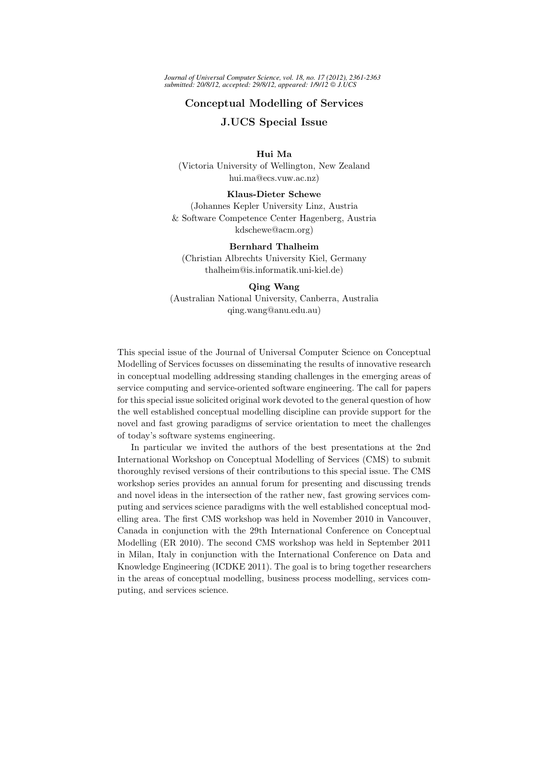*Journal of Universal Computer Science, vol. 18, no. 17 (2012), 2361-2363 submitted: 20/8/12, accepted: 29/8/12, appeared: 1/9/12 J.UCS*

## Conceptual Modelling of Services

## J.UCS Special Issue

### Hui Ma

(Victoria University of Wellington, New Zealand hui.ma@ecs.vuw.ac.nz)

#### Klaus-Dieter Schewe

(Johannes Kepler University Linz, Austria & Software Competence Center Hagenberg, Austria kdschewe@acm.org)

#### Bernhard Thalheim

(Christian Albrechts University Kiel, Germany thalheim@is.informatik.uni-kiel.de)

#### Qing Wang

(Australian National University, Canberra, Australia qing.wang@anu.edu.au)

This special issue of the Journal of Universal Computer Science on Conceptual Modelling of Services focusses on disseminating the results of innovative research in conceptual modelling addressing standing challenges in the emerging areas of service computing and service-oriented software engineering. The call for papers for this special issue solicited original work devoted to the general question of how the well established conceptual modelling discipline can provide support for the novel and fast growing paradigms of service orientation to meet the challenges of today's software systems engineering.

In particular we invited the authors of the best presentations at the 2nd International Workshop on Conceptual Modelling of Services (CMS) to submit thoroughly revised versions of their contributions to this special issue. The CMS workshop series provides an annual forum for presenting and discussing trends and novel ideas in the intersection of the rather new, fast growing services computing and services science paradigms with the well established conceptual modelling area. The first CMS workshop was held in November 2010 in Vancouver, Canada in conjunction with the 29th International Conference on Conceptual Modelling (ER 2010). The second CMS workshop was held in September 2011 in Milan, Italy in conjunction with the International Conference on Data and Knowledge Engineering (ICDKE 2011). The goal is to bring together researchers in the areas of conceptual modelling, business process modelling, services computing, and services science.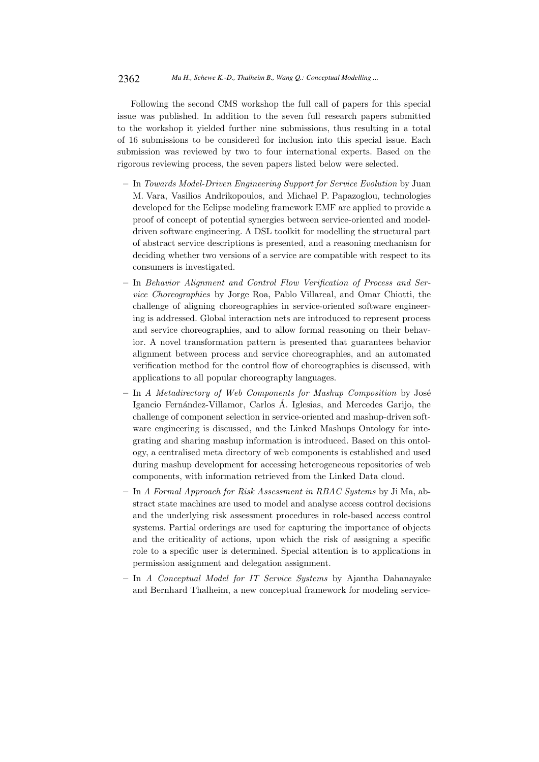Following the second CMS workshop the full call of papers for this special issue was published. In addition to the seven full research papers submitted to the workshop it yielded further nine submissions, thus resulting in a total of 16 submissions to be considered for inclusion into this special issue. Each submission was reviewed by two to four international experts. Based on the rigorous reviewing process, the seven papers listed below were selected.

- In Towards Model-Driven Engineering Support for Service Evolution by Juan M. Vara, Vasilios Andrikopoulos, and Michael P. Papazoglou, technologies developed for the Eclipse modeling framework EMF are applied to provide a proof of concept of potential synergies between service-oriented and modeldriven software engineering. A DSL toolkit for modelling the structural part of abstract service descriptions is presented, and a reasoning mechanism for deciding whether two versions of a service are compatible with respect to its consumers is investigated.
- In Behavior Alignment and Control Flow Verification of Process and Service Choreographies by Jorge Roa, Pablo Villareal, and Omar Chiotti, the challenge of aligning choreographies in service-oriented software engineering is addressed. Global interaction nets are introduced to represent process and service choreographies, and to allow formal reasoning on their behavior. A novel transformation pattern is presented that guarantees behavior alignment between process and service choreographies, and an automated verification method for the control flow of choreographies is discussed, with applications to all popular choreography languages.
- $-$  In A Metadirectory of Web Components for Mashup Composition by José Igancio Fernández-Villamor, Carlos Á. Iglesias, and Mercedes Garijo, the challenge of component selection in service-oriented and mashup-driven software engineering is discussed, and the Linked Mashups Ontology for integrating and sharing mashup information is introduced. Based on this ontology, a centralised meta directory of web components is established and used during mashup development for accessing heterogeneous repositories of web components, with information retrieved from the Linked Data cloud.
- In A Formal Approach for Risk Assessment in RBAC Systems by Ji Ma, abstract state machines are used to model and analyse access control decisions and the underlying risk assessment procedures in role-based access control systems. Partial orderings are used for capturing the importance of objects and the criticality of actions, upon which the risk of assigning a specific role to a specific user is determined. Special attention is to applications in permission assignment and delegation assignment.
- In A Conceptual Model for IT Service Systems by Ajantha Dahanayake and Bernhard Thalheim, a new conceptual framework for modeling service-